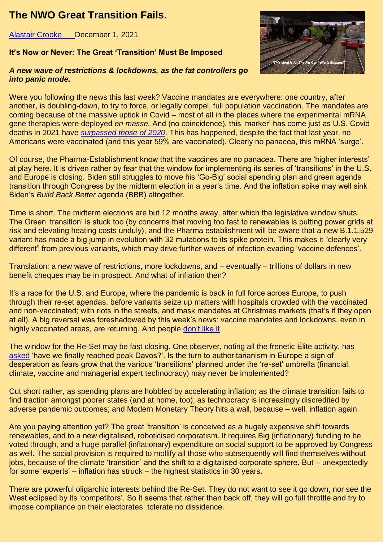## **The NWO Great Transition Fails.**

Alastair Crooke December 1, 2021

## **It's Now or Never: The Great 'Transition' Must Be Imposed**

## *A new wave of restrictions & lockdowns, as the fat controllers go into panic mode.*



Were you following the news this last week? Vaccine mandates are everywhere: one country, after another, is doubling-down, to try to force, or legally compel, full population vaccination. The mandates are coming because of the massive uptick in Covid – most of all in the places where the experimental mRNA gene therapies were deployed *en masse.* And (no coincidence), this 'marker' has come just as U.S. Covid deaths in 2021 have *[surpassed those of 2020](https://conflictsforum.us5.list-manage.com/track/click?u=d914682a80e028bae421f977c&id=1d0870038f&e=5daadc4022)*. This has happened, despite the fact that last year, no Americans were vaccinated (and this year 59% are vaccinated). Clearly no panacea, this mRNA 'surge'.

Of course, the Pharma-Establishment know that the vaccines are no panacea. There are 'higher interests' at play here. It is driven rather by fear that the window for implementing its series of 'transitions' in the U.S. and Europe is closing. Biden still struggles to move his 'Go-Big' social spending plan and green agenda transition through Congress by the midterm election in a year's time. And the inflation spike may well sink Biden's *Build Back Better* agenda (BBB) altogether.

Time is short. The midterm elections are but 12 months away, after which the legislative window shuts. The Green 'transition' is stuck too (by concerns that moving too fast to renewables is putting power grids at risk and elevating heating costs unduly), and the Pharma establishment will be aware that a new B.1.1.529 variant has made a big jump in evolution with 32 mutations to its spike protein. This makes it "clearly very different" from previous variants, which may drive further waves of infection evading 'vaccine defences'.

Translation: a new wave of restrictions, more lockdowns, and – eventually – trillions of dollars in new benefit cheques may be in prospect. And what of inflation then?

It's a race for the U.S. and Europe, where the pandemic is back in full force across Europe, to push through their re-set agendas, before variants seize up matters with hospitals crowded with the vaccinated and non-vaccinated; with riots in the streets, and mask mandates at Christmas markets (that's if they open at all). A big reversal was foreshadowed by this week's news: vaccine mandates and lockdowns, even in highly vaccinated areas, are returning. And people [don't like it.](https://conflictsforum.us5.list-manage.com/track/click?u=d914682a80e028bae421f977c&id=1924cd9e13&e=5daadc4022)

The window for the Re-Set may be fast closing. One observer, noting all the frenetic Élite activity, has [asked](https://conflictsforum.us5.list-manage.com/track/click?u=d914682a80e028bae421f977c&id=20d603085c&e=5daadc4022) 'have we finally reached peak Davos?'. Is the turn to authoritarianism in Europe a sign of desperation as fears grow that the various 'transitions' planned under the 're-set' umbrella (financial, climate, vaccine and managerial expert technocracy) may never be implemented?

Cut short rather, as spending plans are hobbled by accelerating inflation; as the climate transition fails to find traction amongst poorer states (and at home, too); as technocracy is increasingly discredited by adverse pandemic outcomes; and Modern Monetary Theory hits a wall, because – well, inflation again.

Are you paying attention yet? The great 'transition' is conceived as a hugely expensive shift towards renewables, and to a new digitalised, roboticised corporatism. It requires Big (inflationary) funding to be voted through, and a huge parallel (inflationary) expenditure on social support to be approved by Congress as well. The social provision is required to mollify all those who subsequently will find themselves without jobs, because of the climate 'transition' and the shift to a digitalised corporate sphere. But – unexpectedly for some 'experts' – inflation has struck – the highest statistics in 30 years.

There are powerful oligarchic interests behind the Re-Set. They do not want to see it go down, nor see the West eclipsed by its 'competitors'. So it seems that rather than back off, they will go full throttle and try to impose compliance on their electorates: tolerate no dissidence.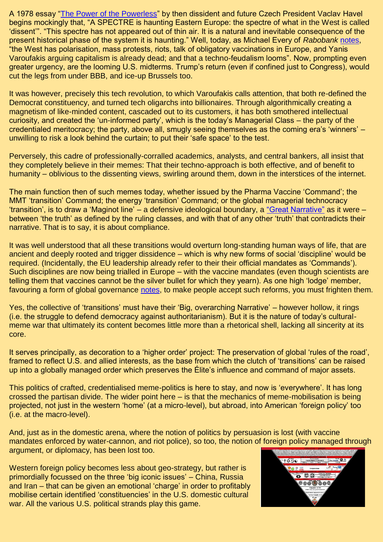A 1978 essay ["The Power of the Powerless"](https://conflictsforum.us5.list-manage.com/track/click?u=d914682a80e028bae421f977c&id=7409cc01ff&e=5daadc4022) by then dissident and future Czech President Vaclav Havel begins mockingly that, "A SPECTRE is haunting Eastern Europe: the spectre of what in the West is called 'dissent'". "This spectre has not appeared out of thin air. It is a natural and inevitable consequence of the present historical phase of the system it is haunting." Well, today, as Michael Every of *Rabobank* [notes,](https://conflictsforum.us5.list-manage.com/track/click?u=d914682a80e028bae421f977c&id=aca1eae064&e=5daadc4022) "the West has polarisation, mass protests, riots, talk of obligatory vaccinations in Europe, and Yanis Varoufakis arguing capitalism is already dead; and that a techno-feudalism looms". Now, prompting even greater urgency, are the looming U.S. midterms. Trump's return (even if confined just to Congress), would cut the legs from under BBB, and ice-up Brussels too.

It was however, precisely this tech revolution, to which Varoufakis calls attention, that both re-defined the Democrat constituency, and turned tech oligarchs into billionaires. Through algorithmically creating a magnetism of like-minded content, cascaded out to its customers, it has both smothered intellectual curiosity, and created the 'un-informed party', which is the today's Managerial Class – the party of the credentialed meritocracy; the party, above all, smugly seeing themselves as the coming era's 'winners' – unwilling to risk a look behind the curtain; to put their 'safe space' to the test.

Perversely, this cadre of professionally-corralled academics, analysts, and central bankers, all insist that they completely believe in their memes: That their techno-approach is both effective, and of benefit to humanity – oblivious to the dissenting views, swirling around them, down in the interstices of the internet.

The main function then of such memes today, whether issued by the Pharma Vaccine 'Command'; the MMT 'transition' Command; the energy 'transition' Command; or the global managerial technocracy 'transition', is to draw a 'Maginot line' – a defensive ideological boundary, a ["Great Narrative"](https://conflictsforum.us5.list-manage.com/track/click?u=d914682a80e028bae421f977c&id=f35e50e73f&e=5daadc4022) as it were – between 'the truth' as defined by the ruling classes, and with that of any other 'truth' that contradicts their narrative. That is to say, it is about compliance.

It was well understood that all these transitions would overturn long-standing human ways of life, that are ancient and deeply rooted and trigger dissidence – which is why new forms of social 'discipline' would be required. (Incidentally, the EU leadership already refer to their their official mandates as 'Commands'). Such disciplines are now being trialled in Europe – with the vaccine mandates (even though scientists are telling them that vaccines cannot be the silver bullet for which they yearn). As one high 'lodge' member, favouring a form of global governance [notes,](https://conflictsforum.us5.list-manage.com/track/click?u=d914682a80e028bae421f977c&id=4b1be473a9&e=5daadc4022) to make people accept such reforms, you must frighten them.

Yes, the collective of 'transitions' must have their 'Big, overarching Narrative' – however hollow, it rings (i.e. the struggle to defend democracy against authoritarianism). But it is the nature of today's culturalmeme war that ultimately its content becomes little more than a rhetorical shell, lacking all sincerity at its core.

It serves principally, as decoration to a 'higher order' project: The preservation of global 'rules of the road', framed to reflect U.S. and allied interests, as the base from which the clutch of 'transitions' can be raised up into a globally managed order which preserves the Élite's influence and command of major assets.

This politics of crafted, credentialised meme-politics is here to stay, and now is 'everywhere'. It has long crossed the partisan divide. The wider point here – is that the mechanics of meme-mobilisation is being projected, not just in the western 'home' (at a micro-level), but abroad, into American 'foreign policy' too (i.e. at the macro-level).

And, just as in the domestic arena, where the notion of politics by persuasion is lost (with vaccine mandates enforced by water-cannon, and riot police), so too, the notion of foreign policy managed through argument, or diplomacy, has been lost too.

Western foreign policy becomes less about geo-strategy, but rather is primordially focussed on the three 'big iconic issues' – China, Russia and Iran – that can be given an emotional 'charge' in order to profitably mobilise certain identified 'constituencies' in the U.S. domestic cultural war. All the various U.S. political strands play this game.